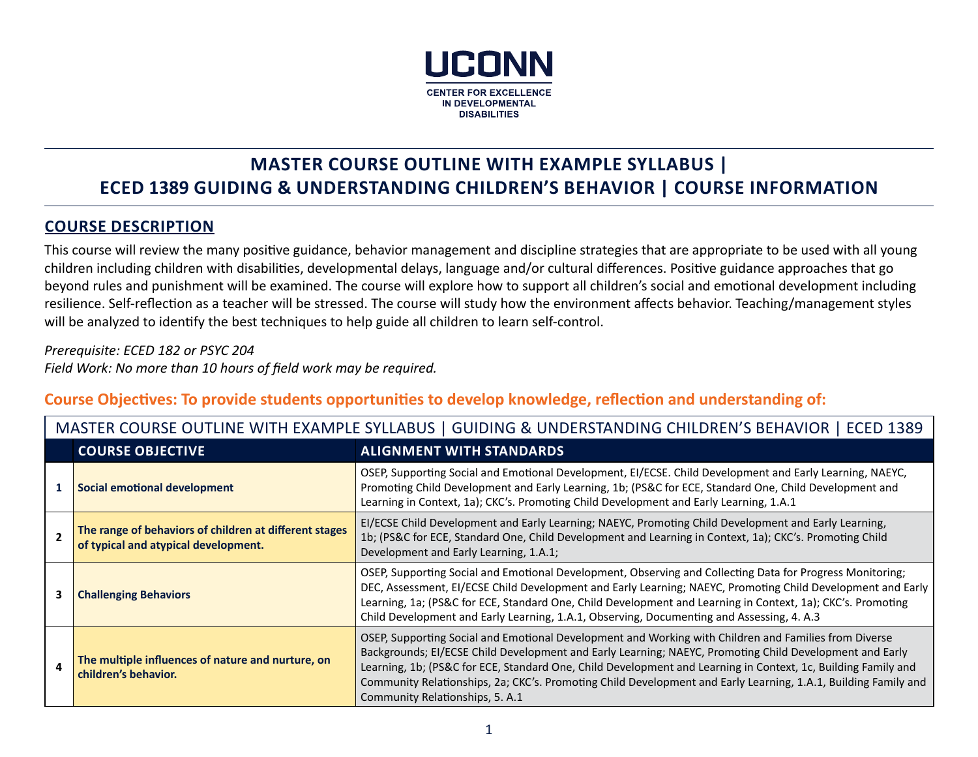

# **MASTER COURSE OUTLINE WITH EXAMPLE SYLLABUS | ECED 1389 GUIDING & UNDERSTANDING CHILDREN'S BEHAVIOR | COURSE INFORMATION**

#### **COURSE DESCRIPTION**

This course will review the many positive guidance, behavior management and discipline strategies that are appropriate to be used with all young children including children with disabilities, developmental delays, language and/or cultural differences. Positive guidance approaches that go beyond rules and punishment will be examined. The course will explore how to support all children's social and emotional development including resilience. Self-reflection as a teacher will be stressed. The course will study how the environment affects behavior. Teaching/management styles will be analyzed to identify the best techniques to help guide all children to learn self-control.

*Prerequisite: ECED 182 or PSYC 204 Field Work: No more than 10 hours of field work may be required.*

## **Course Objectives: To provide students opportunities to develop knowledge, reflection and understanding of:**

|   | MASTER COURSE OUTLINE WITH EXAMPLE SYLLABUS   GUIDING & UNDERSTANDING CHILDREN'S BEHAVIOR   ECED 1389 |                                                                                                                                                                                                                                                                                                                                                                                                                                                                                        |  |  |
|---|-------------------------------------------------------------------------------------------------------|----------------------------------------------------------------------------------------------------------------------------------------------------------------------------------------------------------------------------------------------------------------------------------------------------------------------------------------------------------------------------------------------------------------------------------------------------------------------------------------|--|--|
|   | <b>COURSE OBJECTIVE</b>                                                                               | <b>ALIGNMENT WITH STANDARDS</b>                                                                                                                                                                                                                                                                                                                                                                                                                                                        |  |  |
|   | Social emotional development                                                                          | OSEP, Supporting Social and Emotional Development, EI/ECSE. Child Development and Early Learning, NAEYC,<br>Promoting Child Development and Early Learning, 1b; (PS&C for ECE, Standard One, Child Development and<br>Learning in Context, 1a); CKC's. Promoting Child Development and Early Learning, 1.A.1                                                                                                                                                                           |  |  |
|   | The range of behaviors of children at different stages<br>of typical and atypical development.        | EI/ECSE Child Development and Early Learning; NAEYC, Promoting Child Development and Early Learning,<br>1b; (PS&C for ECE, Standard One, Child Development and Learning in Context, 1a); CKC's. Promoting Child<br>Development and Early Learning, 1.A.1;                                                                                                                                                                                                                              |  |  |
|   | <b>Challenging Behaviors</b>                                                                          | OSEP, Supporting Social and Emotional Development, Observing and Collecting Data for Progress Monitoring;<br>DEC, Assessment, EI/ECSE Child Development and Early Learning; NAEYC, Promoting Child Development and Early<br>Learning, 1a; (PS&C for ECE, Standard One, Child Development and Learning in Context, 1a); CKC's. Promoting<br>Child Development and Early Learning, 1.A.1, Observing, Documenting and Assessing, 4. A.3                                                   |  |  |
| Δ | The multiple influences of nature and nurture, on<br>children's behavior.                             | OSEP, Supporting Social and Emotional Development and Working with Children and Families from Diverse<br>Backgrounds; EI/ECSE Child Development and Early Learning; NAEYC, Promoting Child Development and Early<br>Learning, 1b; (PS&C for ECE, Standard One, Child Development and Learning in Context, 1c, Building Family and<br>Community Relationships, 2a; CKC's. Promoting Child Development and Early Learning, 1.A.1, Building Family and<br>Community Relationships, 5. A.1 |  |  |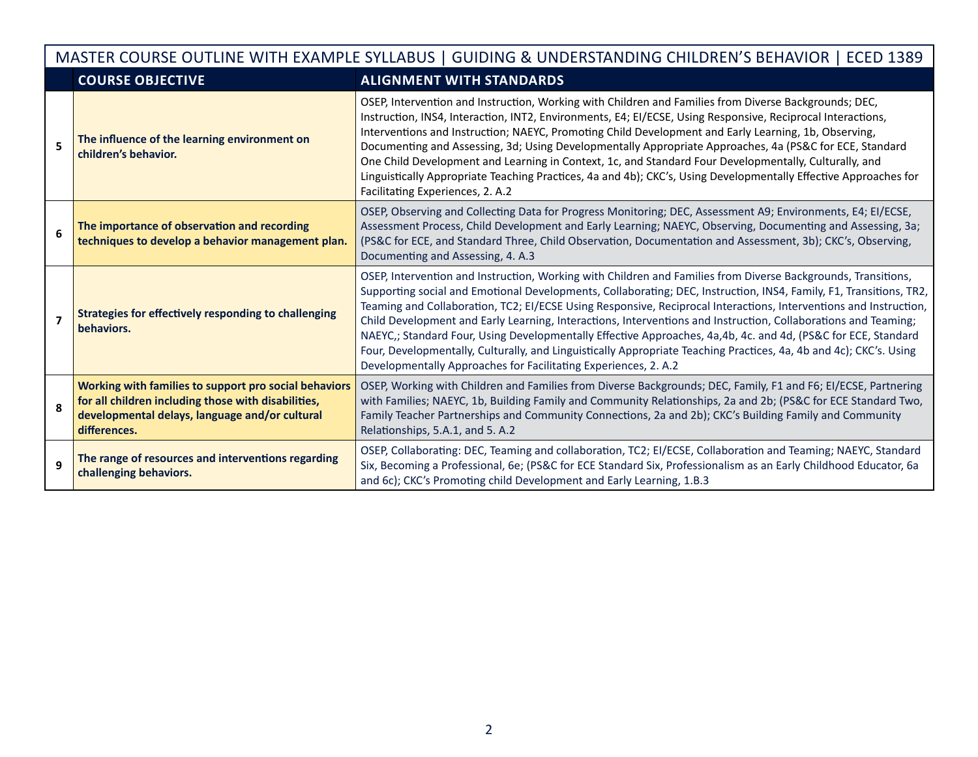| MASTER COURSE OUTLINE WITH EXAMPLE SYLLABUS   GUIDING & UNDERSTANDING CHILDREN'S BEHAVIOR   ECED 1389 |                                                                                                                                                                                |                                                                                                                                                                                                                                                                                                                                                                                                                                                                                                                                                                                                                                                                                                                                                                                      |  |  |
|-------------------------------------------------------------------------------------------------------|--------------------------------------------------------------------------------------------------------------------------------------------------------------------------------|--------------------------------------------------------------------------------------------------------------------------------------------------------------------------------------------------------------------------------------------------------------------------------------------------------------------------------------------------------------------------------------------------------------------------------------------------------------------------------------------------------------------------------------------------------------------------------------------------------------------------------------------------------------------------------------------------------------------------------------------------------------------------------------|--|--|
|                                                                                                       | <b>COURSE OBJECTIVE</b>                                                                                                                                                        | <b>ALIGNMENT WITH STANDARDS</b>                                                                                                                                                                                                                                                                                                                                                                                                                                                                                                                                                                                                                                                                                                                                                      |  |  |
| 5                                                                                                     | The influence of the learning environment on<br>children's behavior.                                                                                                           | OSEP, Intervention and Instruction, Working with Children and Families from Diverse Backgrounds; DEC,<br>Instruction, INS4, Interaction, INT2, Environments, E4; EI/ECSE, Using Responsive, Reciprocal Interactions,<br>Interventions and Instruction; NAEYC, Promoting Child Development and Early Learning, 1b, Observing,<br>Documenting and Assessing, 3d; Using Developmentally Appropriate Approaches, 4a (PS&C for ECE, Standard<br>One Child Development and Learning in Context, 1c, and Standard Four Developmentally, Culturally, and<br>Linguistically Appropriate Teaching Practices, 4a and 4b); CKC's, Using Developmentally Effective Approaches for<br>Facilitating Experiences, 2. A.2                                                                             |  |  |
| 6                                                                                                     | The importance of observation and recording<br>techniques to develop a behavior management plan.                                                                               | OSEP, Observing and Collecting Data for Progress Monitoring; DEC, Assessment A9; Environments, E4; EI/ECSE,<br>Assessment Process, Child Development and Early Learning; NAEYC, Observing, Documenting and Assessing, 3a;<br>(PS&C for ECE, and Standard Three, Child Observation, Documentation and Assessment, 3b); CKC's, Observing,<br>Documenting and Assessing, 4. A.3                                                                                                                                                                                                                                                                                                                                                                                                         |  |  |
| $\overline{\phantom{a}}$                                                                              | <b>Strategies for effectively responding to challenging</b><br>behaviors.                                                                                                      | OSEP, Intervention and Instruction, Working with Children and Families from Diverse Backgrounds, Transitions,<br>Supporting social and Emotional Developments, Collaborating; DEC, Instruction, INS4, Family, F1, Transitions, TR2,<br>Teaming and Collaboration, TC2; EI/ECSE Using Responsive, Reciprocal Interactions, Interventions and Instruction,<br>Child Development and Early Learning, Interactions, Interventions and Instruction, Collaborations and Teaming;<br>NAEYC,; Standard Four, Using Developmentally Effective Approaches, 4a,4b, 4c. and 4d, (PS&C for ECE, Standard<br>Four, Developmentally, Culturally, and Linguistically Appropriate Teaching Practices, 4a, 4b and 4c); CKC's. Using<br>Developmentally Approaches for Facilitating Experiences, 2. A.2 |  |  |
| 8                                                                                                     | Working with families to support pro social behaviors<br>for all children including those with disabilities,<br>developmental delays, language and/or cultural<br>differences. | OSEP, Working with Children and Families from Diverse Backgrounds; DEC, Family, F1 and F6; El/ECSE, Partnering<br>with Families; NAEYC, 1b, Building Family and Community Relationships, 2a and 2b; (PS&C for ECE Standard Two,<br>Family Teacher Partnerships and Community Connections, 2a and 2b); CKC's Building Family and Community<br>Relationships, 5.A.1, and 5.A.2                                                                                                                                                                                                                                                                                                                                                                                                         |  |  |
| q                                                                                                     | The range of resources and interventions regarding<br>challenging behaviors.                                                                                                   | OSEP, Collaborating: DEC, Teaming and collaboration, TC2; EI/ECSE, Collaboration and Teaming; NAEYC, Standard<br>Six, Becoming a Professional, 6e; (PS&C for ECE Standard Six, Professionalism as an Early Childhood Educator, 6a<br>and 6c); CKC's Promoting child Development and Early Learning, 1.B.3                                                                                                                                                                                                                                                                                                                                                                                                                                                                            |  |  |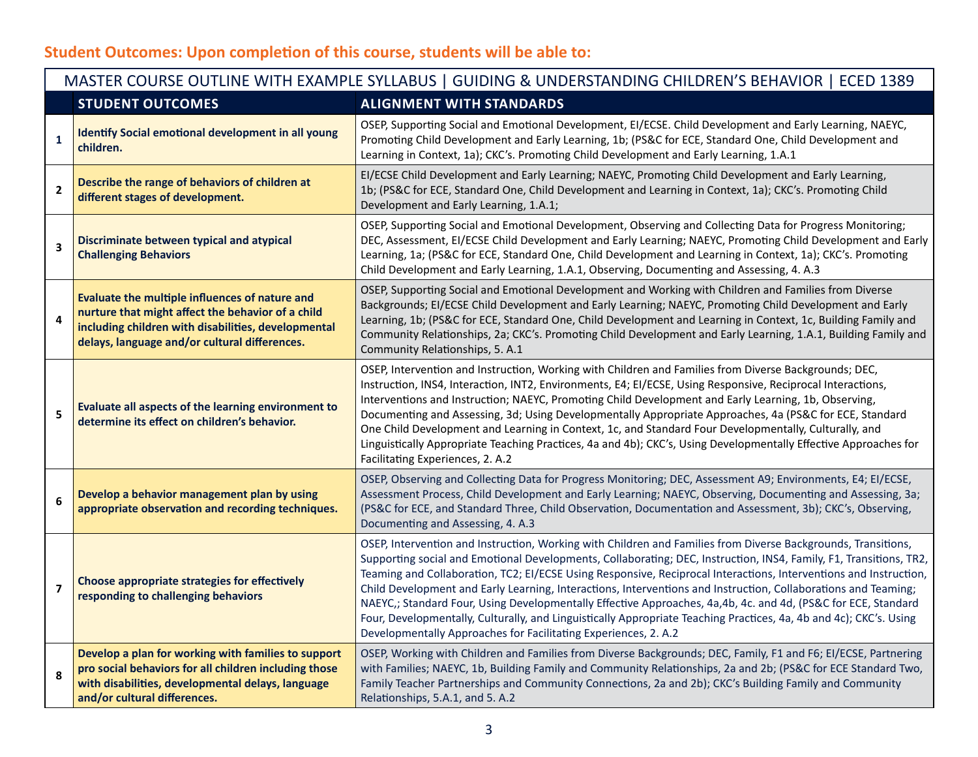# **Student Outcomes: Upon completion of this course, students will be able to:**

|                         | MASTER COURSE OUTLINE WITH EXAMPLE SYLLABUS   GUIDING & UNDERSTANDING CHILDREN'S BEHAVIOR   ECED 1389                                                                                                       |                                                                                                                                                                                                                                                                                                                                                                                                                                                                                                                                                                                                                                                                                                                                                                                      |  |  |  |
|-------------------------|-------------------------------------------------------------------------------------------------------------------------------------------------------------------------------------------------------------|--------------------------------------------------------------------------------------------------------------------------------------------------------------------------------------------------------------------------------------------------------------------------------------------------------------------------------------------------------------------------------------------------------------------------------------------------------------------------------------------------------------------------------------------------------------------------------------------------------------------------------------------------------------------------------------------------------------------------------------------------------------------------------------|--|--|--|
|                         | <b>STUDENT OUTCOMES</b>                                                                                                                                                                                     | <b>ALIGNMENT WITH STANDARDS</b>                                                                                                                                                                                                                                                                                                                                                                                                                                                                                                                                                                                                                                                                                                                                                      |  |  |  |
| $\mathbf{1}$            | <b>Identify Social emotional development in all young</b><br>children.                                                                                                                                      | OSEP, Supporting Social and Emotional Development, EI/ECSE. Child Development and Early Learning, NAEYC,<br>Promoting Child Development and Early Learning, 1b; (PS&C for ECE, Standard One, Child Development and<br>Learning in Context, 1a); CKC's. Promoting Child Development and Early Learning, 1.A.1                                                                                                                                                                                                                                                                                                                                                                                                                                                                         |  |  |  |
| $\mathbf{2}$            | Describe the range of behaviors of children at<br>different stages of development.                                                                                                                          | EI/ECSE Child Development and Early Learning; NAEYC, Promoting Child Development and Early Learning,<br>1b; (PS&C for ECE, Standard One, Child Development and Learning in Context, 1a); CKC's. Promoting Child<br>Development and Early Learning, 1.A.1;                                                                                                                                                                                                                                                                                                                                                                                                                                                                                                                            |  |  |  |
| $\overline{\mathbf{3}}$ | Discriminate between typical and atypical<br><b>Challenging Behaviors</b>                                                                                                                                   | OSEP, Supporting Social and Emotional Development, Observing and Collecting Data for Progress Monitoring;<br>DEC, Assessment, EI/ECSE Child Development and Early Learning; NAEYC, Promoting Child Development and Early<br>Learning, 1a; (PS&C for ECE, Standard One, Child Development and Learning in Context, 1a); CKC's. Promoting<br>Child Development and Early Learning, 1.A.1, Observing, Documenting and Assessing, 4. A.3                                                                                                                                                                                                                                                                                                                                                 |  |  |  |
| 4                       | Evaluate the multiple influences of nature and<br>nurture that might affect the behavior of a child<br>including children with disabilities, developmental<br>delays, language and/or cultural differences. | OSEP, Supporting Social and Emotional Development and Working with Children and Families from Diverse<br>Backgrounds; EI/ECSE Child Development and Early Learning; NAEYC, Promoting Child Development and Early<br>Learning, 1b; (PS&C for ECE, Standard One, Child Development and Learning in Context, 1c, Building Family and<br>Community Relationships, 2a; CKC's. Promoting Child Development and Early Learning, 1.A.1, Building Family and<br>Community Relationships, 5. A.1                                                                                                                                                                                                                                                                                               |  |  |  |
| 5                       | Evaluate all aspects of the learning environment to<br>determine its effect on children's behavior.                                                                                                         | OSEP, Intervention and Instruction, Working with Children and Families from Diverse Backgrounds; DEC,<br>Instruction, INS4, Interaction, INT2, Environments, E4; EI/ECSE, Using Responsive, Reciprocal Interactions,<br>Interventions and Instruction; NAEYC, Promoting Child Development and Early Learning, 1b, Observing,<br>Documenting and Assessing, 3d; Using Developmentally Appropriate Approaches, 4a (PS&C for ECE, Standard<br>One Child Development and Learning in Context, 1c, and Standard Four Developmentally, Culturally, and<br>Linguistically Appropriate Teaching Practices, 4a and 4b); CKC's, Using Developmentally Effective Approaches for<br>Facilitating Experiences, 2. A.2                                                                             |  |  |  |
| 6                       | Develop a behavior management plan by using<br>appropriate observation and recording techniques.                                                                                                            | OSEP, Observing and Collecting Data for Progress Monitoring; DEC, Assessment A9; Environments, E4; EI/ECSE,<br>Assessment Process, Child Development and Early Learning; NAEYC, Observing, Documenting and Assessing, 3a;<br>(PS&C for ECE, and Standard Three, Child Observation, Documentation and Assessment, 3b); CKC's, Observing,<br>Documenting and Assessing, 4. A.3                                                                                                                                                                                                                                                                                                                                                                                                         |  |  |  |
| $\overline{7}$          | Choose appropriate strategies for effectively<br>responding to challenging behaviors                                                                                                                        | OSEP, Intervention and Instruction, Working with Children and Families from Diverse Backgrounds, Transitions,<br>Supporting social and Emotional Developments, Collaborating; DEC, Instruction, INS4, Family, F1, Transitions, TR2,<br>Teaming and Collaboration, TC2; EI/ECSE Using Responsive, Reciprocal Interactions, Interventions and Instruction,<br>Child Development and Early Learning, Interactions, Interventions and Instruction, Collaborations and Teaming;<br>NAEYC,; Standard Four, Using Developmentally Effective Approaches, 4a,4b, 4c. and 4d, (PS&C for ECE, Standard<br>Four, Developmentally, Culturally, and Linguistically Appropriate Teaching Practices, 4a, 4b and 4c); CKC's. Using<br>Developmentally Approaches for Facilitating Experiences, 2. A.2 |  |  |  |
| 8                       | Develop a plan for working with families to support<br>pro social behaviors for all children including those<br>with disabilities, developmental delays, language<br>and/or cultural differences.           | OSEP, Working with Children and Families from Diverse Backgrounds; DEC, Family, F1 and F6; EI/ECSE, Partnering<br>with Families; NAEYC, 1b, Building Family and Community Relationships, 2a and 2b; (PS&C for ECE Standard Two,<br>Family Teacher Partnerships and Community Connections, 2a and 2b); CKC's Building Family and Community<br>Relationships, 5.A.1, and 5.A.2                                                                                                                                                                                                                                                                                                                                                                                                         |  |  |  |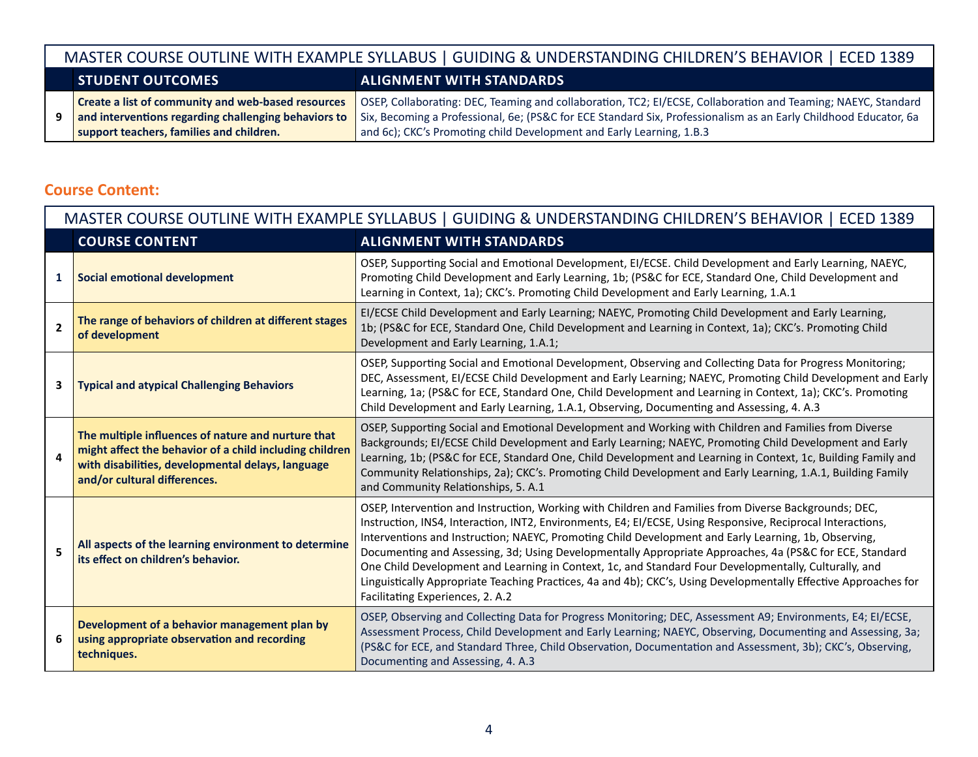|    | MASTER COURSE OUTLINE WITH EXAMPLE SYLLABUS   GUIDING & UNDERSTANDING CHILDREN'S BEHAVIOR   ECED 1389                                                  |                                                                                                                                                                                                                                                                                                           |  |  |
|----|--------------------------------------------------------------------------------------------------------------------------------------------------------|-----------------------------------------------------------------------------------------------------------------------------------------------------------------------------------------------------------------------------------------------------------------------------------------------------------|--|--|
|    | <b>STUDENT OUTCOMES</b>                                                                                                                                | <b>ALIGNMENT WITH STANDARDS</b>                                                                                                                                                                                                                                                                           |  |  |
| 9. | Create a list of community and web-based resources<br>and interventions regarding challenging behaviors to<br>support teachers, families and children. | OSEP, Collaborating: DEC, Teaming and collaboration, TC2; EI/ECSE, Collaboration and Teaming; NAEYC, Standard<br>Six, Becoming a Professional, 6e; (PS&C for ECE Standard Six, Professionalism as an Early Childhood Educator, 6a<br>and 6c); CKC's Promoting child Development and Early Learning, 1.B.3 |  |  |

### **Course Content:**

|                | MASTER COURSE OUTLINE WITH EXAMPLE SYLLABUS   GUIDING & UNDERSTANDING CHILDREN'S BEHAVIOR   ECED 1389                                                                                                                                                                                                                                                                                                                                                                                                                                                                                                                                                                                                                                                                                                  |                                                                                                                                                                                                                                                                                                                                                                                                                                                                                         |  |  |
|----------------|--------------------------------------------------------------------------------------------------------------------------------------------------------------------------------------------------------------------------------------------------------------------------------------------------------------------------------------------------------------------------------------------------------------------------------------------------------------------------------------------------------------------------------------------------------------------------------------------------------------------------------------------------------------------------------------------------------------------------------------------------------------------------------------------------------|-----------------------------------------------------------------------------------------------------------------------------------------------------------------------------------------------------------------------------------------------------------------------------------------------------------------------------------------------------------------------------------------------------------------------------------------------------------------------------------------|--|--|
|                | <b>COURSE CONTENT</b>                                                                                                                                                                                                                                                                                                                                                                                                                                                                                                                                                                                                                                                                                                                                                                                  | <b>ALIGNMENT WITH STANDARDS</b>                                                                                                                                                                                                                                                                                                                                                                                                                                                         |  |  |
| $\mathbf{1}$   | <b>Social emotional development</b>                                                                                                                                                                                                                                                                                                                                                                                                                                                                                                                                                                                                                                                                                                                                                                    | OSEP, Supporting Social and Emotional Development, EI/ECSE. Child Development and Early Learning, NAEYC,<br>Promoting Child Development and Early Learning, 1b; (PS&C for ECE, Standard One, Child Development and<br>Learning in Context, 1a); CKC's. Promoting Child Development and Early Learning, 1.A.1                                                                                                                                                                            |  |  |
| $\overline{2}$ | The range of behaviors of children at different stages<br>of development                                                                                                                                                                                                                                                                                                                                                                                                                                                                                                                                                                                                                                                                                                                               | EI/ECSE Child Development and Early Learning; NAEYC, Promoting Child Development and Early Learning,<br>1b; (PS&C for ECE, Standard One, Child Development and Learning in Context, 1a); CKC's. Promoting Child<br>Development and Early Learning, 1.A.1;                                                                                                                                                                                                                               |  |  |
| 3              | <b>Typical and atypical Challenging Behaviors</b>                                                                                                                                                                                                                                                                                                                                                                                                                                                                                                                                                                                                                                                                                                                                                      | OSEP, Supporting Social and Emotional Development, Observing and Collecting Data for Progress Monitoring;<br>DEC, Assessment, EI/ECSE Child Development and Early Learning; NAEYC, Promoting Child Development and Early<br>Learning, 1a; (PS&C for ECE, Standard One, Child Development and Learning in Context, 1a); CKC's. Promoting<br>Child Development and Early Learning, 1.A.1, Observing, Documenting and Assessing, 4. A.3                                                    |  |  |
| 4              | The multiple influences of nature and nurture that<br>might affect the behavior of a child including children<br>with disabilities, developmental delays, language<br>and/or cultural differences.                                                                                                                                                                                                                                                                                                                                                                                                                                                                                                                                                                                                     | OSEP, Supporting Social and Emotional Development and Working with Children and Families from Diverse<br>Backgrounds; EI/ECSE Child Development and Early Learning; NAEYC, Promoting Child Development and Early<br>Learning, 1b; (PS&C for ECE, Standard One, Child Development and Learning in Context, 1c, Building Family and<br>Community Relationships, 2a); CKC's. Promoting Child Development and Early Learning, 1.A.1, Building Family<br>and Community Relationships, 5. A.1 |  |  |
| 5              | OSEP, Intervention and Instruction, Working with Children and Families from Diverse Backgrounds; DEC,<br>Instruction, INS4, Interaction, INT2, Environments, E4; EI/ECSE, Using Responsive, Reciprocal Interactions,<br>Interventions and Instruction; NAEYC, Promoting Child Development and Early Learning, 1b, Observing,<br>All aspects of the learning environment to determine<br>Documenting and Assessing, 3d; Using Developmentally Appropriate Approaches, 4a (PS&C for ECE, Standard<br>its effect on children's behavior.<br>One Child Development and Learning in Context, 1c, and Standard Four Developmentally, Culturally, and<br>Linguistically Appropriate Teaching Practices, 4a and 4b); CKC's, Using Developmentally Effective Approaches for<br>Facilitating Experiences, 2. A.2 |                                                                                                                                                                                                                                                                                                                                                                                                                                                                                         |  |  |
| 6              | Development of a behavior management plan by<br>using appropriate observation and recording<br>techniques.                                                                                                                                                                                                                                                                                                                                                                                                                                                                                                                                                                                                                                                                                             | OSEP, Observing and Collecting Data for Progress Monitoring; DEC, Assessment A9; Environments, E4; EI/ECSE,<br>Assessment Process, Child Development and Early Learning; NAEYC, Observing, Documenting and Assessing, 3a;<br>(PS&C for ECE, and Standard Three, Child Observation, Documentation and Assessment, 3b); CKC's, Observing,<br>Documenting and Assessing, 4. A.3                                                                                                            |  |  |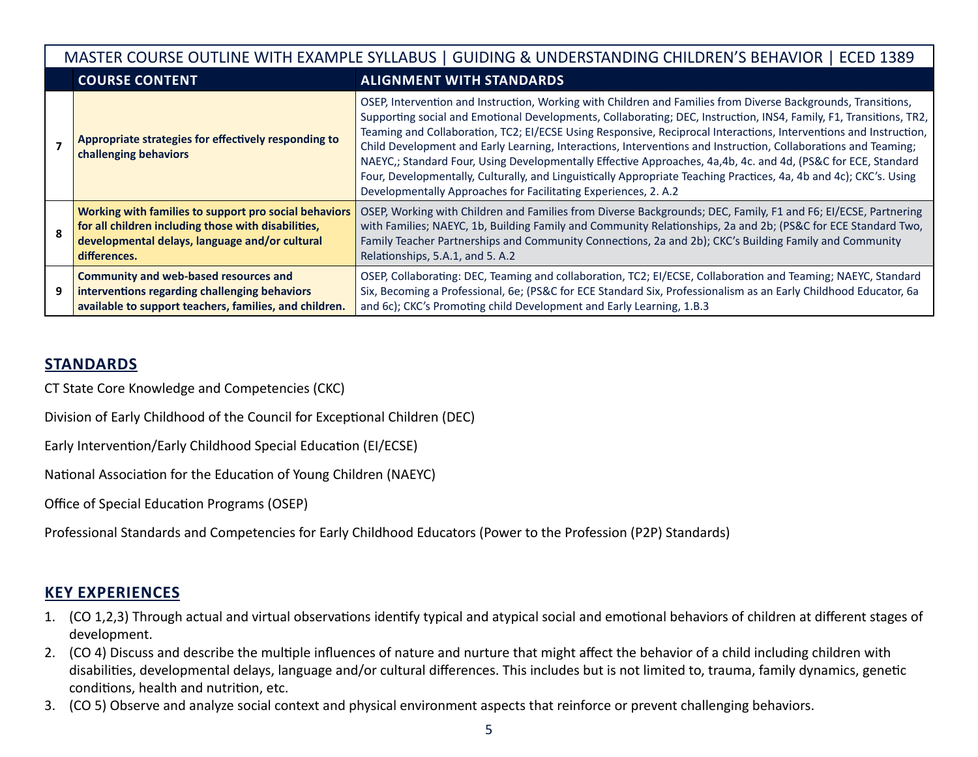| MASTER COURSE OUTLINE WITH EXAMPLE SYLLABUS   GUIDING & UNDERSTANDING CHILDREN'S BEHAVIOR   ECED 1389 |                                                                                                                                                                                |                                                                                                                                                                                                                                                                                                                                                                                                                                                                                                                                                                                                                                                                                                                                                                                      |  |  |
|-------------------------------------------------------------------------------------------------------|--------------------------------------------------------------------------------------------------------------------------------------------------------------------------------|--------------------------------------------------------------------------------------------------------------------------------------------------------------------------------------------------------------------------------------------------------------------------------------------------------------------------------------------------------------------------------------------------------------------------------------------------------------------------------------------------------------------------------------------------------------------------------------------------------------------------------------------------------------------------------------------------------------------------------------------------------------------------------------|--|--|
|                                                                                                       | <b>COURSE CONTENT</b>                                                                                                                                                          | <b>ALIGNMENT WITH STANDARDS</b>                                                                                                                                                                                                                                                                                                                                                                                                                                                                                                                                                                                                                                                                                                                                                      |  |  |
|                                                                                                       | Appropriate strategies for effectively responding to<br>challenging behaviors                                                                                                  | OSEP, Intervention and Instruction, Working with Children and Families from Diverse Backgrounds, Transitions,<br>Supporting social and Emotional Developments, Collaborating; DEC, Instruction, INS4, Family, F1, Transitions, TR2,<br>Teaming and Collaboration, TC2; EI/ECSE Using Responsive, Reciprocal Interactions, Interventions and Instruction,<br>Child Development and Early Learning, Interactions, Interventions and Instruction, Collaborations and Teaming;<br>NAEYC,; Standard Four, Using Developmentally Effective Approaches, 4a,4b, 4c. and 4d, (PS&C for ECE, Standard<br>Four, Developmentally, Culturally, and Linguistically Appropriate Teaching Practices, 4a, 4b and 4c); CKC's. Using<br>Developmentally Approaches for Facilitating Experiences, 2. A.2 |  |  |
| $\mathbf{R}$                                                                                          | Working with families to support pro social behaviors<br>for all children including those with disabilities,<br>developmental delays, language and/or cultural<br>differences. | OSEP, Working with Children and Families from Diverse Backgrounds; DEC, Family, F1 and F6; EI/ECSE, Partnering<br>with Families; NAEYC, 1b, Building Family and Community Relationships, 2a and 2b; (PS&C for ECE Standard Two,<br>Family Teacher Partnerships and Community Connections, 2a and 2b); CKC's Building Family and Community<br>Relationships, 5.A.1, and 5. A.2                                                                                                                                                                                                                                                                                                                                                                                                        |  |  |
| 9                                                                                                     | <b>Community and web-based resources and</b><br>interventions regarding challenging behaviors<br>available to support teachers, families, and children.                        | OSEP, Collaborating: DEC, Teaming and collaboration, TC2; EI/ECSE, Collaboration and Teaming; NAEYC, Standard<br>Six, Becoming a Professional, 6e; (PS&C for ECE Standard Six, Professionalism as an Early Childhood Educator, 6a<br>and 6c); CKC's Promoting child Development and Early Learning, 1.B.3                                                                                                                                                                                                                                                                                                                                                                                                                                                                            |  |  |

# **STANDARDS**

CT State Core Knowledge and Competencies (CKC)

Division of Early Childhood of the Council for Exceptional Children (DEC)

Early Intervention/Early Childhood Special Education (EI/ECSE)

National Association for the Education of Young Children (NAEYC)

Office of Special Education Programs (OSEP)

Professional Standards and Competencies for Early Childhood Educators (Power to the Profession (P2P) Standards)

# **KEY EXPERIENCES**

- 1. (CO 1,2,3) Through actual and virtual observations identify typical and atypical social and emotional behaviors of children at different stages of development.
- 2. (CO 4) Discuss and describe the multiple influences of nature and nurture that might affect the behavior of a child including children with disabilities, developmental delays, language and/or cultural differences. This includes but is not limited to, trauma, family dynamics, genetic conditions, health and nutrition, etc.
- 3. (CO 5) Observe and analyze social context and physical environment aspects that reinforce or prevent challenging behaviors.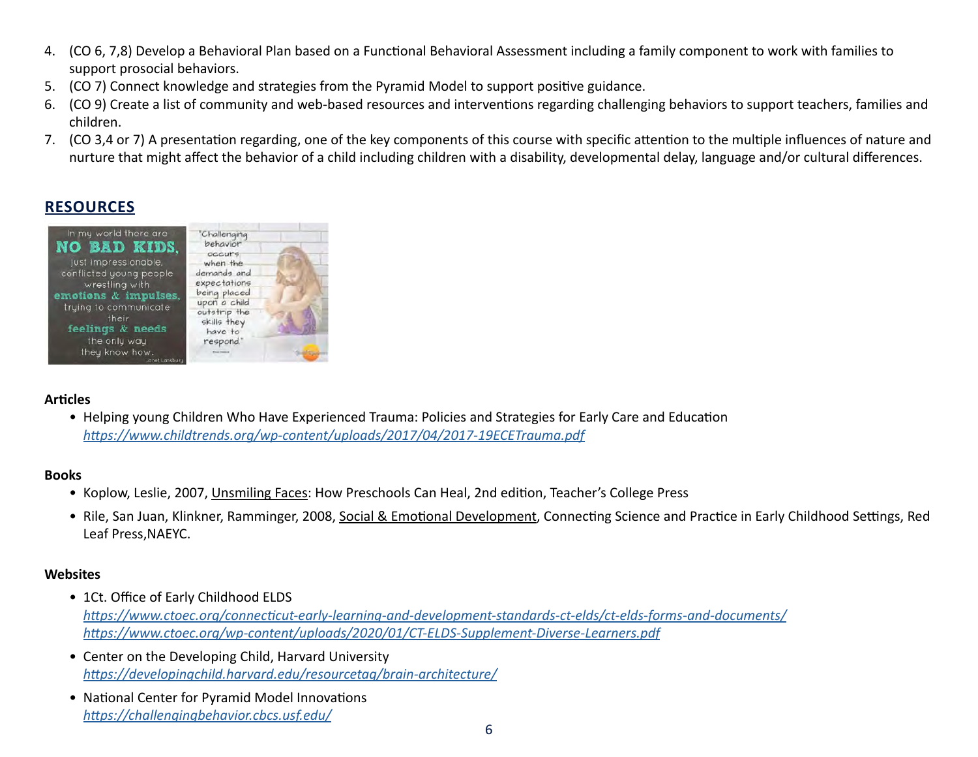- 4. (CO 6, 7,8) Develop a Behavioral Plan based on a Functional Behavioral Assessment including a family component to work with families to support prosocial behaviors.
- 5. (CO 7) Connect knowledge and strategies from the Pyramid Model to support positive guidance.
- 6. (CO 9) Create a list of community and web-based resources and interventions regarding challenging behaviors to support teachers, families and children.
- 7. (CO 3,4 or 7) A presentation regarding, one of the key components of this course with specific attention to the multiple influences of nature and nurture that might affect the behavior of a child including children with a disability, developmental delay, language and/or cultural differences.

# **RESOURCES**



#### **Articles**

• Helping young Children Who Have Experienced Trauma: Policies and Strategies for Early Care and Education *<https://www.childtrends.org/wp-content/uploads/2017/04/2017-19ECETrauma.pdf>*

#### **Books**

- Koplow, Leslie, 2007, Unsmiling Faces: How Preschools Can Heal, 2nd edition, Teacher's College Press
- Rile, San Juan, Klinkner, Ramminger, 2008, Social & Emotional Development, Connecting Science and Practice in Early Childhood Settings, Red Leaf Press,NAEYC.

#### **Websites**

- 1Ct. Office of Early Childhood ELDS *<https://www.ctoec.org/connecticut-early-learning-and-development-standards-ct-elds/ct-elds-forms-and-documents/> <https://www.ctoec.org/wp-content/uploads/2020/01/CT-ELDS-Supplement-Diverse-Learners.pdf>*
- Center on the Developing Child, Harvard University *<https://developingchild.harvard.edu/resourcetag/brain-architecture/>*
- National Center for Pyramid Model Innovations *<https://challengingbehavior.cbcs.usf.edu/>*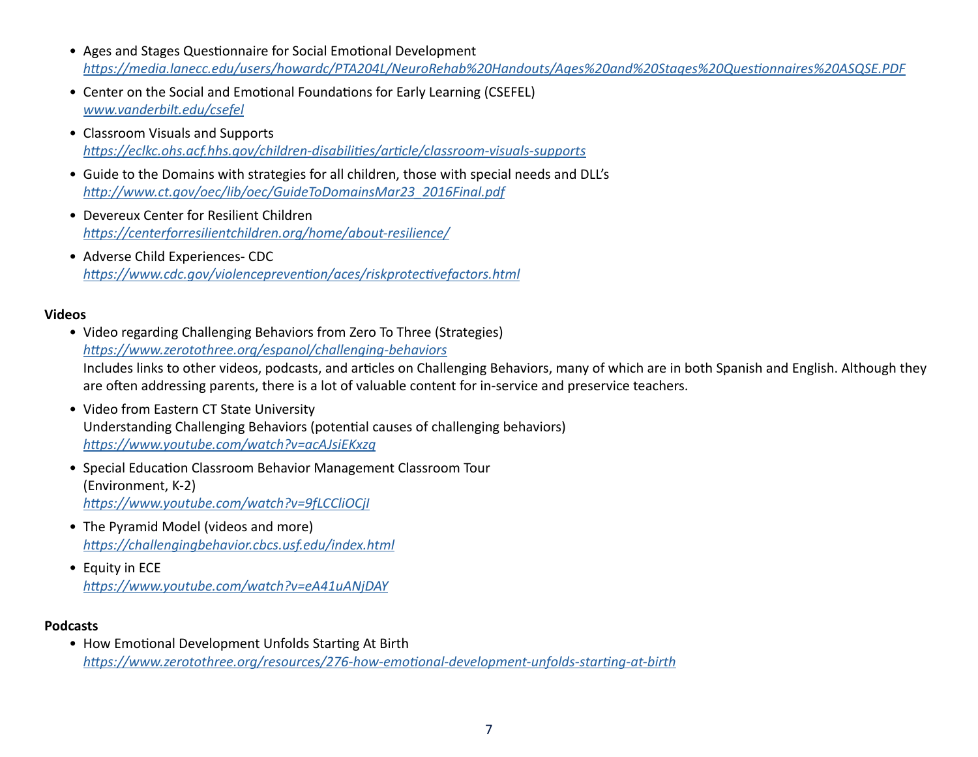- Ages and Stages Questionnaire for Social Emotional Development *<https://media.lanecc.edu/users/howardc/PTA204L/NeuroRehab%20Handouts/Ages%20and%20Stages%20Questionnaires%20ASQSE.PDF>*
- Center on the Social and Emotional Foundations for Early Learning (CSEFEL) *[www.vanderbilt.edu/csefel](http://www.vanderbilt.edu/csefel)*
- Classroom Visuals and Supports *<https://eclkc.ohs.acf.hhs.gov/children-disabilities/article/classroom-visuals-supports>*
- Guide to the Domains with strategies for all children, those with special needs and DLL's *[http://www.ct.gov/oec/lib/oec/GuideToDomainsMar23\\_2016Final.pdf](http://www.ct.gov/oec/lib/oec/GuideToDomainsMar23_2016Final.pdf)*
- Devereux Center for Resilient Children *<https://centerforresilientchildren.org/home/about-resilience/>*
- Adverse Child Experiences- CDC *<https://www.cdc.gov/violenceprevention/aces/riskprotectivefactors.html>*

#### **Videos**

- Video regarding Challenging Behaviors from Zero To Three (Strategies) *<https://www.zerotothree.org/espanol/challenging-behaviors>* Includes links to other videos, podcasts, and articles on Challenging Behaviors, many of which are in both Spanish and English. Although they are often addressing parents, there is a lot of valuable content for in-service and preservice teachers.
- Video from Eastern CT State University Understanding Challenging Behaviors (potential causes of challenging behaviors) *<https://www.youtube.com/watch?v=acAJsiEKxzg>*
- Special Education Classroom Behavior Management Classroom Tour (Environment, K-2) *<https://www.youtube.com/watch?v=9fLCCliOCjI>*
- The Pyramid Model (videos and more) *<https://challengingbehavior.cbcs.usf.edu/index.html>*
- Equity in ECE *<https://www.youtube.com/watch?v=eA41uANjDAY>*

#### **Podcasts**

• How Emotional Development Unfolds Starting At Birth *<https://www.zerotothree.org/resources/276-how-emotional-development-unfolds-starting-at-birth>*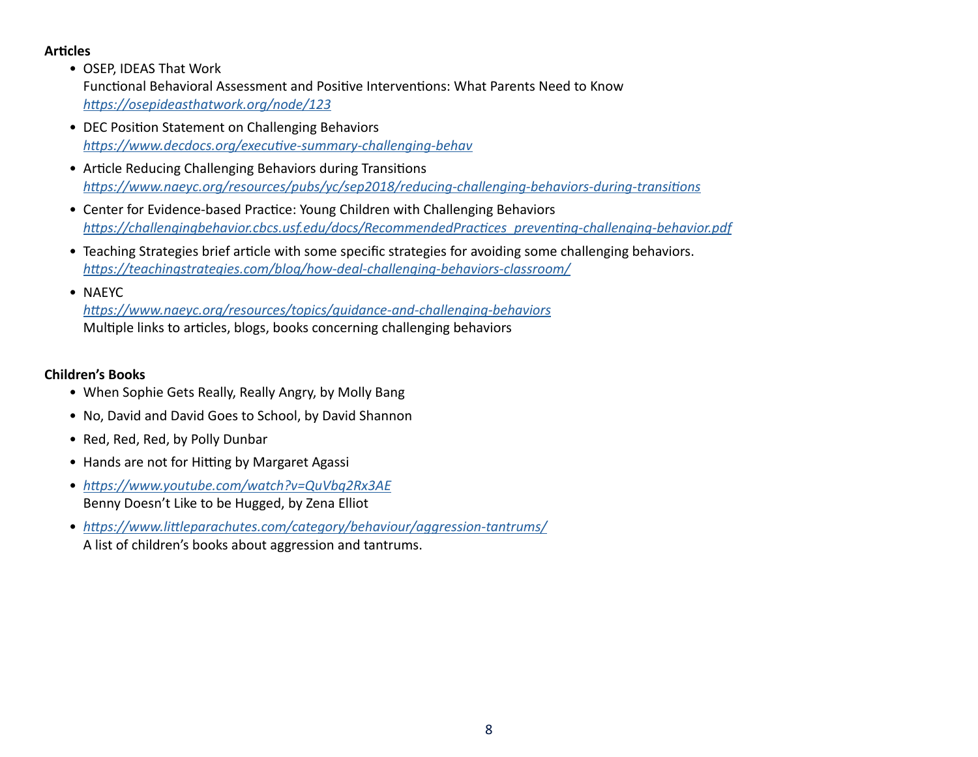#### **Articles**

• OSEP, IDEAS That Work

Functional Behavioral Assessment and Positive Interventions: What Parents Need to Know *<https://osepideasthatwork.org/node/123>*

- DEC Position Statement on Challenging Behaviors *<https://www.decdocs.org/executive-summary-challenging-behav>*
- Article Reducing Challenging Behaviors during Transitions *https://www.naeyc.org/resources/pubs/yc/sep2018/reducing-challenging-behaviors-during-transitions*
- Center for Evidence-based Practice: Young Children with Challenging Behaviors *[https://challengingbehavior.cbcs.usf.edu/docs/RecommendedPractices\\_preventing-challenging-behavior.pdf](https://challengingbehavior.cbcs.usf.edu/docs/RecommendedPractices_preventing-challenging-behavior.pdf)*
- Teaching Strategies brief article with some specific strategies for avoiding some challenging behaviors. *<https://teachingstrategies.com/blog/how-deal-challenging-behaviors-classroom/>*
- NAEYC

*<https://www.naeyc.org/resources/topics/guidance-and-challenging-behaviors>* Multiple links to articles, blogs, books concerning challenging behaviors

#### **Children's Books**

- When Sophie Gets Really, Really Angry, by Molly Bang
- No, David and David Goes to School, by David Shannon
- Red, Red, Red, by Polly Dunbar
- Hands are not for Hitting by Margaret Agassi
- *<https://www.youtube.com/watch?v=QuVbq2Rx3AE>* Benny Doesn't Like to be Hugged, by Zena Elliot
- *<https://www.littleparachutes.com/category/behaviour/aggression-tantrums/>* A list of children's books about aggression and tantrums.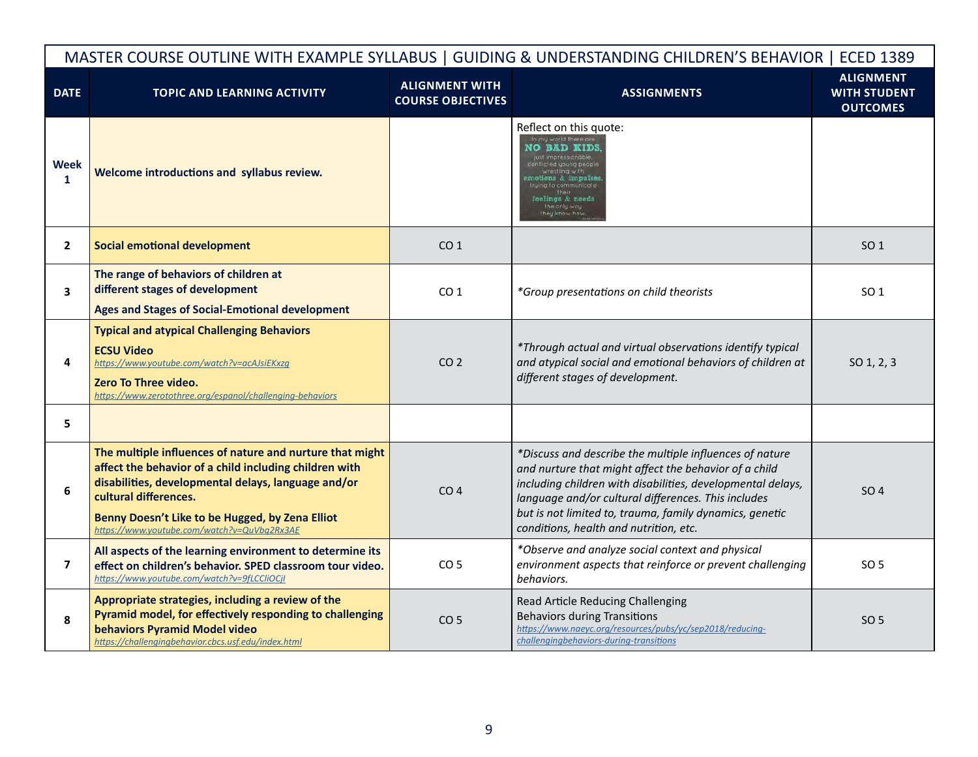|                  | MASTER COURSE OUTLINE WITH EXAMPLE SYLLABUS   GUIDING & UNDERSTANDING CHILDREN'S BEHAVIOR   ECED 1389                                                                                                                                                                                                |                                                   |                                                                                                                                                                                                                                                                                                                                             |                                                            |  |
|------------------|------------------------------------------------------------------------------------------------------------------------------------------------------------------------------------------------------------------------------------------------------------------------------------------------------|---------------------------------------------------|---------------------------------------------------------------------------------------------------------------------------------------------------------------------------------------------------------------------------------------------------------------------------------------------------------------------------------------------|------------------------------------------------------------|--|
| <b>DATE</b>      | <b>TOPIC AND LEARNING ACTIVITY</b>                                                                                                                                                                                                                                                                   | <b>ALIGNMENT WITH</b><br><b>COURSE OBJECTIVES</b> | <b>ASSIGNMENTS</b>                                                                                                                                                                                                                                                                                                                          | <b>ALIGNMENT</b><br><b>WITH STUDENT</b><br><b>OUTCOMES</b> |  |
| <b>Week</b><br>1 | Welcome introductions and syllabus review.                                                                                                                                                                                                                                                           |                                                   | Reflect on this quote:<br>my world there are<br>IO BAD KIDS<br>eelings & needs<br>the only way                                                                                                                                                                                                                                              |                                                            |  |
| $\mathbf{2}$     | <b>Social emotional development</b>                                                                                                                                                                                                                                                                  | CO <sub>1</sub>                                   |                                                                                                                                                                                                                                                                                                                                             | SO <sub>1</sub>                                            |  |
| 3                | The range of behaviors of children at<br>different stages of development<br>Ages and Stages of Social-Emotional development                                                                                                                                                                          | CO <sub>1</sub>                                   | *Group presentations on child theorists                                                                                                                                                                                                                                                                                                     | SO <sub>1</sub>                                            |  |
| 4                | <b>Typical and atypical Challenging Behaviors</b><br><b>ECSU Video</b><br>https://www.youtube.com/watch?v=acAJsiEKxzg<br><b>Zero To Three video.</b><br>https://www.zerotothree.org/espanol/challenging-behaviors                                                                                    | CO <sub>2</sub>                                   | *Through actual and virtual observations identify typical<br>and atypical social and emotional behaviors of children at<br>different stages of development.                                                                                                                                                                                 | SO 1, 2, 3                                                 |  |
| 5                |                                                                                                                                                                                                                                                                                                      |                                                   |                                                                                                                                                                                                                                                                                                                                             |                                                            |  |
| 6                | The multiple influences of nature and nurture that might<br>affect the behavior of a child including children with<br>disabilities, developmental delays, language and/or<br>cultural differences.<br>Benny Doesn't Like to be Hugged, by Zena Elliot<br>https://www.youtube.com/watch?v=QuVbq2Rx3AE | CO <sub>4</sub>                                   | *Discuss and describe the multiple influences of nature<br>and nurture that might affect the behavior of a child<br>including children with disabilities, developmental delays,<br>language and/or cultural differences. This includes<br>but is not limited to, trauma, family dynamics, genetic<br>conditions, health and nutrition, etc. | SO <sub>4</sub>                                            |  |
| $\overline{ }$   | All aspects of the learning environment to determine its<br>effect on children's behavior. SPED classroom tour video.<br>https://www.youtube.com/watch?v=9fLCCliOCjI                                                                                                                                 | CO <sub>5</sub>                                   | *Observe and analyze social context and physical<br>environment aspects that reinforce or prevent challenging<br>behaviors.                                                                                                                                                                                                                 | SO <sub>5</sub>                                            |  |
| 8                | Appropriate strategies, including a review of the<br>Pyramid model, for effectively responding to challenging<br>behaviors Pyramid Model video<br>https://challengingbehavior.cbcs.usf.edu/index.html                                                                                                | CO <sub>5</sub>                                   | Read Article Reducing Challenging<br><b>Behaviors during Transitions</b><br>https://www.naeyc.org/resources/pubs/yc/sep2018/reducing-<br>challengingbehaviors-during-transitions                                                                                                                                                            | SO 5                                                       |  |